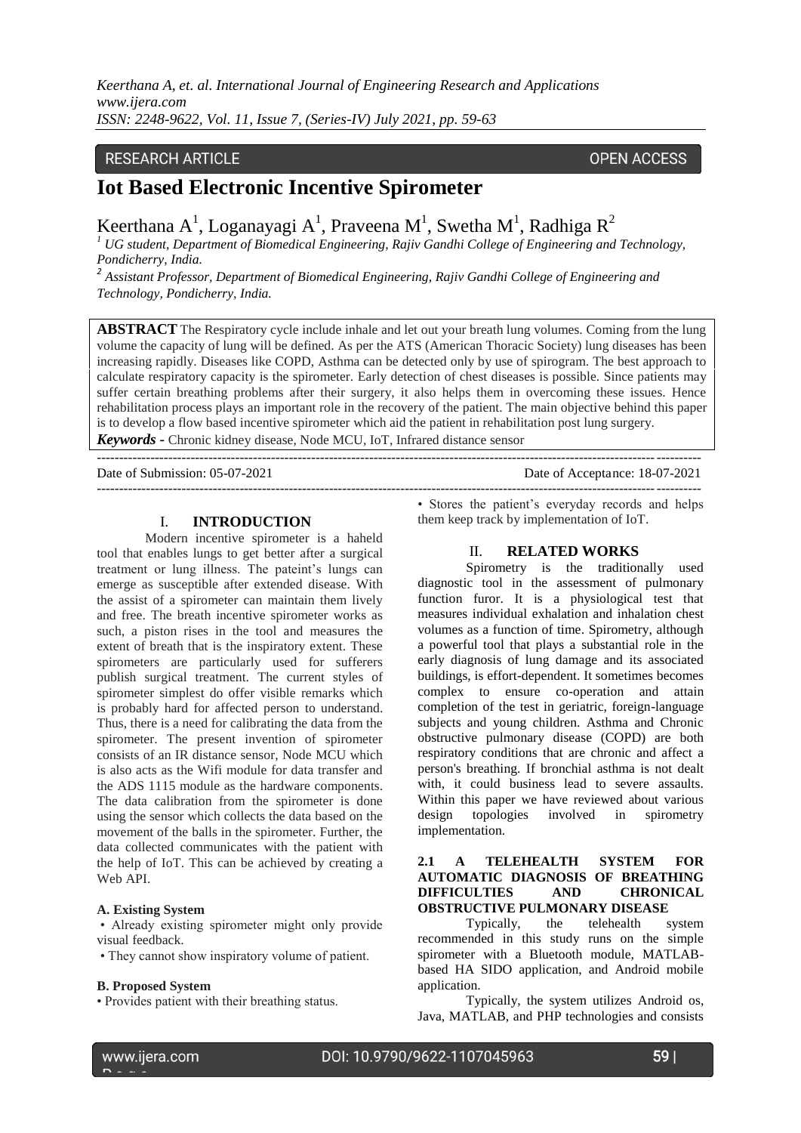*Keerthana A, et. al. International Journal of Engineering Research and Applications www.ijera.com ISSN: 2248-9622, Vol. 11, Issue 7, (Series-IV) July 2021, pp. 59-63*

# **RESEARCH ARTICLE**

### **OPEN ACCESS**

# **Iot Based Electronic Incentive Spirometer**

Keerthana A<sup>1</sup>, Loganayagi A<sup>1</sup>, Praveena M<sup>1</sup>, Swetha M<sup>1</sup>, Radhiga R<sup>2</sup>

*<sup>1</sup> UG student, Department of Biomedical Engineering, Rajiv Gandhi College of Engineering and Technology, Pondicherry, India.*

*2 Assistant Professor, Department of Biomedical Engineering, Rajiv Gandhi College of Engineering and Technology, Pondicherry, India.*

**ABSTRACT** The Respiratory cycle include inhale and let out your breath lung volumes. Coming from the lung volume the capacity of lung will be defined. As per the ATS (American Thoracic Society) lung diseases has been increasing rapidly. Diseases like COPD, Asthma can be detected only by use of spirogram. The best approach to calculate respiratory capacity is the spirometer. Early detection of chest diseases is possible. Since patients may suffer certain breathing problems after their surgery, it also helps them in overcoming these issues. Hence rehabilitation process plays an important role in the recovery of the patient. The main objective behind this paper is to develop a flow based incentive spirometer which aid the patient in rehabilitation post lung surgery. *Keywords* **-** Chronic kidney disease, Node MCU, IoT, Infrared distance sensor

---------------------------------------------------------------------------------------------------------------------------------------

Date of Submission: 05-07-2021 Date of Acceptance: 18-07-2021

### I. **INTRODUCTION**

Modern incentive spirometer is a haheld tool that enables lungs to get better after a surgical treatment or lung illness. The pateint's lungs can emerge as susceptible after extended disease. With the assist of a spirometer can maintain them lively and free. The breath incentive spirometer works as such, a piston rises in the tool and measures the extent of breath that is the inspiratory extent. These spirometers are particularly used for sufferers publish surgical treatment. The current styles of spirometer simplest do offer visible remarks which is probably hard for affected person to understand. Thus, there is a need for calibrating the data from the spirometer. The present invention of spirometer consists of an IR distance sensor, Node MCU which is also acts as the Wifi module for data transfer and the ADS 1115 module as the hardware components. The data calibration from the spirometer is done using the sensor which collects the data based on the movement of the balls in the spirometer. Further, the data collected communicates with the patient with the help of IoT. This can be achieved by creating a Web API.

#### **A. Existing System**

• Already existing spirometer might only provide visual feedback.

• They cannot show inspiratory volume of patient.

#### **B. Proposed System**

• Provides patient with their breathing status.

• Stores the patient's everyday records and helps them keep track by implementation of IoT.

---------------------------------------------------------------------------------------------------------------------------------------

### II. **RELATED WORKS**

Spirometry is the traditionally used diagnostic tool in the assessment of pulmonary function furor. It is a physiological test that measures individual exhalation and inhalation chest volumes as a function of time. Spirometry, although a powerful tool that plays a substantial role in the early diagnosis of lung damage and its associated buildings, is effort-dependent. It sometimes becomes complex to ensure co-operation and attain completion of the test in geriatric, foreign-language subjects and young children. Asthma and Chronic obstructive pulmonary disease (COPD) are both respiratory conditions that are chronic and affect a person's breathing. If bronchial asthma is not dealt with, it could business lead to severe assaults. Within this paper we have reviewed about various design topologies involved in spirometry implementation.

### **2.1 A TELEHEALTH SYSTEM FOR AUTOMATIC DIAGNOSIS OF BREATHING DIFFICULTIES AND CHRONICAL OBSTRUCTIVE PULMONARY DISEASE**

Typically, the telehealth system recommended in this study runs on the simple spirometer with a Bluetooth module, MATLABbased HA SIDO application, and Android mobile application.

Typically, the system utilizes Android os, Java, MATLAB, and PHP technologies and consists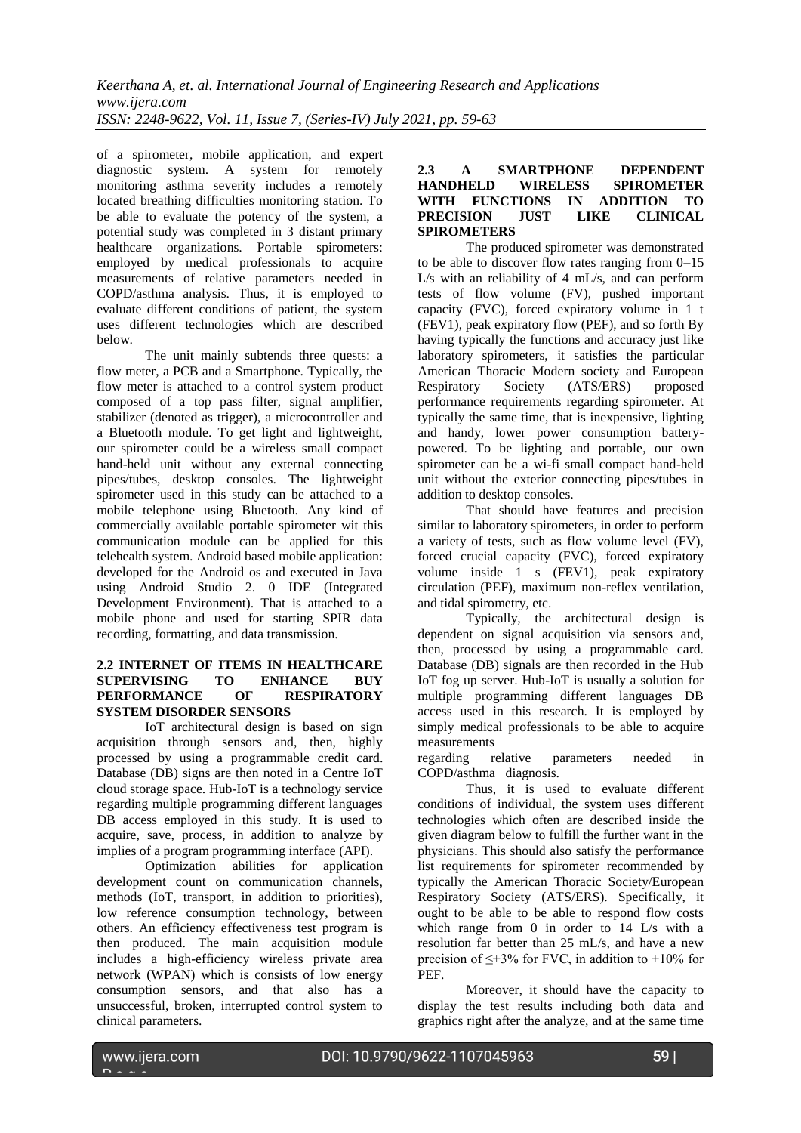of a spirometer, mobile application, and expert diagnostic system. A system for remotely monitoring asthma severity includes a remotely located breathing difficulties monitoring station. To be able to evaluate the potency of the system, a potential study was completed in 3 distant primary healthcare organizations. Portable spirometers: employed by medical professionals to acquire measurements of relative parameters needed in COPD/asthma analysis. Thus, it is employed to evaluate different conditions of patient, the system uses different technologies which are described below.

The unit mainly subtends three quests: a flow meter, a PCB and a Smartphone. Typically, the flow meter is attached to a control system product composed of a top pass filter, signal amplifier, stabilizer (denoted as trigger), a microcontroller and a Bluetooth module. To get light and lightweight, our spirometer could be a wireless small compact hand-held unit without any external connecting pipes/tubes, desktop consoles. The lightweight spirometer used in this study can be attached to a mobile telephone using Bluetooth. Any kind of commercially available portable spirometer wit this communication module can be applied for this telehealth system. Android based mobile application: developed for the Android os and executed in Java using Android Studio 2. 0 IDE (Integrated Development Environment). That is attached to a mobile phone and used for starting SPIR data recording, formatting, and data transmission.

### **2.2 INTERNET OF ITEMS IN HEALTHCARE SUPERVISING TO ENHANCE BUY PERFORMANCE OF RESPIRATORY SYSTEM DISORDER SENSORS**

IoT architectural design is based on sign acquisition through sensors and, then, highly processed by using a programmable credit card. Database (DB) signs are then noted in a Centre IoT cloud storage space. Hub-IoT is a technology service regarding multiple programming different languages DB access employed in this study. It is used to acquire, save, process, in addition to analyze by implies of a program programming interface (API).

Optimization abilities for application development count on communication channels, methods (IoT, transport, in addition to priorities), low reference consumption technology, between others. An efficiency effectiveness test program is then produced. The main acquisition module includes a high-efficiency wireless private area network (WPAN) which is consists of low energy consumption sensors, and that also has a unsuccessful, broken, interrupted control system to clinical parameters.

### **2.3 A SMARTPHONE DEPENDENT HANDHELD WIRELESS SPIROMETER WITH FUNCTIONS IN ADDITION TO PRECISION SPIROMETERS**

The produced spirometer was demonstrated to be able to discover flow rates ranging from 0–15 L/s with an reliability of 4 mL/s, and can perform tests of flow volume (FV), pushed important capacity (FVC), forced expiratory volume in 1 t (FEV1), peak expiratory flow (PEF), and so forth By having typically the functions and accuracy just like laboratory spirometers, it satisfies the particular American Thoracic Modern society and European<br>Respiratory Society (ATS/ERS) proposed Society (ATS/ERS) proposed performance requirements regarding spirometer. At typically the same time, that is inexpensive, lighting and handy, lower power consumption batterypowered. To be lighting and portable, our own spirometer can be a wi-fi small compact hand-held unit without the exterior connecting pipes/tubes in addition to desktop consoles.

That should have features and precision similar to laboratory spirometers, in order to perform a variety of tests, such as flow volume level (FV), forced crucial capacity (FVC), forced expiratory volume inside 1 s (FEV1), peak expiratory circulation (PEF), maximum non-reflex ventilation, and tidal spirometry, etc.

Typically, the architectural design is dependent on signal acquisition via sensors and, then, processed by using a programmable card. Database (DB) signals are then recorded in the Hub IoT fog up server. Hub-IoT is usually a solution for multiple programming different languages DB access used in this research. It is employed by simply medical professionals to be able to acquire measurements<br>regarding r

relative parameters needed in COPD/asthma diagnosis.

Thus, it is used to evaluate different conditions of individual, the system uses different technologies which often are described inside the given diagram below to fulfill the further want in the physicians. This should also satisfy the performance list requirements for spirometer recommended by typically the American Thoracic Society/European Respiratory Society (ATS/ERS). Specifically, it ought to be able to be able to respond flow costs which range from 0 in order to 14 L/s with a resolution far better than 25 mL/s, and have a new precision of  $\leq \pm 3\%$  for FVC, in addition to  $\pm 10\%$  for PEF.

Moreover, it should have the capacity to display the test results including both data and graphics right after the analyze, and at the same time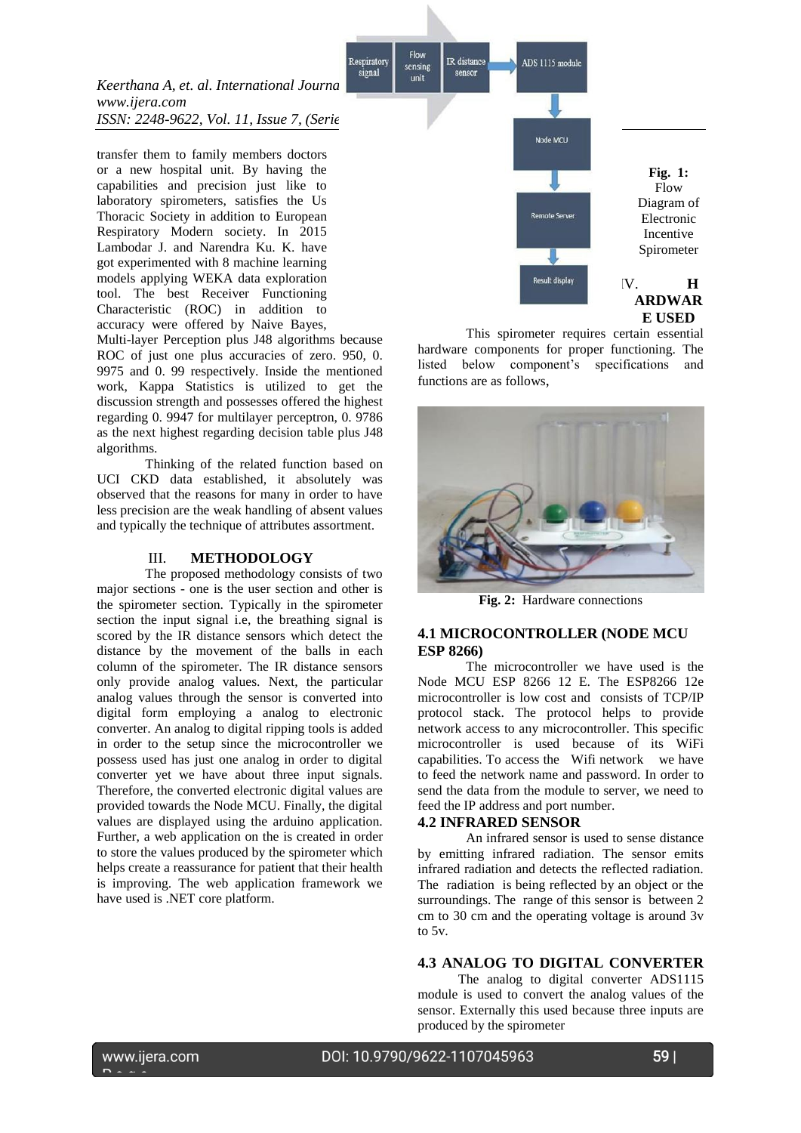

transfer them to family members doctors or a new hospital unit. By having the capabilities and precision just like to laboratory spirometers, satisfies the Us Thoracic Society in addition to European Respiratory Modern society. In 2015 Lambodar J. and Narendra Ku. K. have got experimented with 8 machine learning models applying WEKA data exploration tool. The best Receiver Functioning Characteristic (ROC) in addition to accuracy were offered by Naive Bayes,

Multi-layer Perception plus J48 algorithms because ROC of just one plus accuracies of zero. 950, 0. 9975 and 0. 99 respectively. Inside the mentioned work, Kappa Statistics is utilized to get the discussion strength and possesses offered the highest regarding 0. 9947 for multilayer perceptron, 0. 9786 as the next highest regarding decision table plus J48 algorithms.

Thinking of the related function based on UCI CKD data established, it absolutely was observed that the reasons for many in order to have less precision are the weak handling of absent values and typically the technique of attributes assortment.

#### III. **METHODOLOGY**

The proposed methodology consists of two major sections - one is the user section and other is the spirometer section. Typically in the spirometer section the input signal i.e, the breathing signal is scored by the IR distance sensors which detect the distance by the movement of the balls in each column of the spirometer. The IR distance sensors only provide analog values. Next, the particular analog values through the sensor is converted into digital form employing a analog to electronic converter. An analog to digital ripping tools is added in order to the setup since the microcontroller we possess used has just one analog in order to digital converter yet we have about three input signals. Therefore, the converted electronic digital values are provided towards the Node MCU. Finally, the digital values are displayed using the arduino application. Further, a web application on the is created in order to store the values produced by the spirometer which helps create a reassurance for patient that their health is improving. The web application framework we have used is .NET core platform.



Flow

sensing

This spirometer requires certain essential hardware components for proper functioning. The listed below component's specifications and functions are as follows,



**Fig. 2:** Hardware connections

### **4.1 MICROCONTROLLER (NODE MCU ESP 8266)**

The microcontroller we have used is the Node MCU ESP 8266 12 E. The ESP8266 12e microcontroller is low cost and consists of TCP/IP protocol stack. The protocol helps to provide network access to any microcontroller. This specific microcontroller is used because of its WiFi capabilities. To access the Wifi network we have to feed the network name and password. In order to send the data from the module to server, we need to feed the IP address and port number.

### **4.2 INFRARED SENSOR**

An infrared sensor is used to sense distance by emitting infrared radiation. The sensor emits infrared radiation and detects the reflected radiation. The radiation is being reflected by an object or the surroundings. The range of this sensor is between 2 cm to 30 cm and the operating voltage is around 3v to 5v.

### **4.3 ANALOG TO DIGITAL CONVERTER**

 The analog to digital converter ADS1115 module is used to convert the analog values of the sensor. Externally this used because three inputs are produced by the spirometer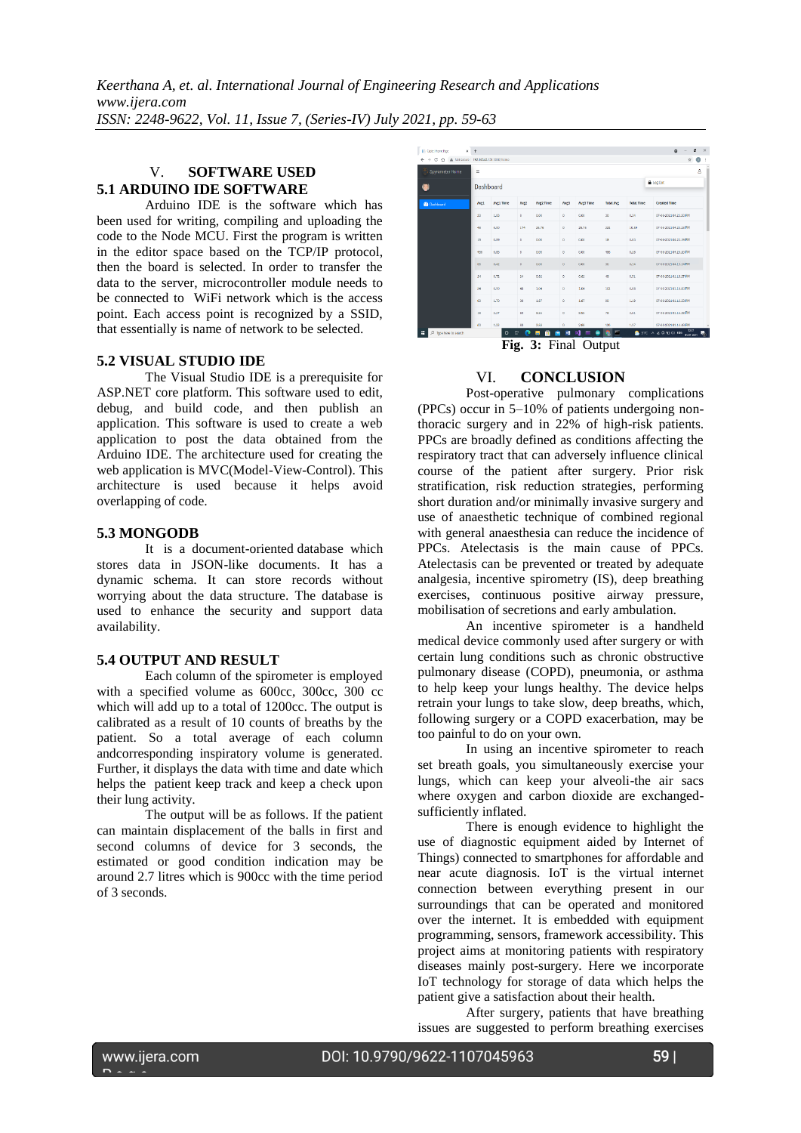# V. **SOFTWARE USED 5.1 ARDUINO IDE SOFTWARE**

Arduino IDE is the software which has been used for writing, compiling and uploading the code to the Node MCU. First the program is written in the editor space based on the TCP/IP protocol, then the board is selected. In order to transfer the data to the server, microcontroller module needs to be connected to WiFi network which is the access point. Each access point is recognized by a SSID, that essentially is name of network to be selected.

### **5.2 VISUAL STUDIO IDE**

The Visual Studio IDE is a prerequisite for ASP.NET core platform. This software used to edit, debug, and build code, and then publish an application. This software is used to create a web application to post the data obtained from the Arduino IDE. The architecture used for creating the web application is MVC(Model-View-Control). This architecture is used because it helps avoid overlapping of code.

# **5.3 MONGODB**

It is a document-oriented database which stores data in JSON-like documents. It has a dynamic schema. It can store records without worrying about the data structure. The database is used to enhance the security and support data availability.

# **5.4 OUTPUT AND RESULT**

Each column of the spirometer is employed with a specified volume as 600cc, 300cc, 300 cc which will add up to a total of 1200cc. The output is calibrated as a result of 10 counts of breaths by the patient. So a total average of each column andcorresponding inspiratory volume is generated. Further, it displays the data with time and date which helps the patient keep track and keep a check upon their lung activity.

The output will be as follows. If the patient can maintain displacement of the balls in first and second columns of device for 3 seconds, the estimated or good condition indication may be around 2.7 litres which is 900cc with the time period of 3 seconds.

| $\leftarrow$ $\rightarrow$<br>C Q A Net secure 192.165.43.131.5000/Home |           |                  |                     |                  |          |           |                  |                   | ÷                      |
|-------------------------------------------------------------------------|-----------|------------------|---------------------|------------------|----------|-----------|------------------|-------------------|------------------------|
| Spyrometer Home                                                         | $\equiv$  |                  |                     |                  |          |           |                  |                   | $\mathbf{a}$           |
| $\circ$                                                                 | Dashboard |                  |                     |                  |          |           |                  | A Log Out         |                        |
| <b>B</b> Dashboard                                                      | Avg1      | <b>Avg1 Time</b> | Ave2                | <b>Ave2 Time</b> | Aug3     | Avg3 Time | <b>Total Ave</b> | <b>Total Time</b> | <b>Created Time</b>    |
|                                                                         | 30        | 1.03             | $\mathbf{0}$        | 0.00             | $\circ$  | 0.00      | 30 <sup>°</sup>  | 0.34              | 07-06-2021 04:23:50 FM |
|                                                                         | 48        | 6.00             | 174                 | 25.76            | $\circ$  | 25.76     | 222              | 10.59             | 07-08 2021 04:23:23 FM |
|                                                                         | 18        | 0.09             | $\ddot{\mathbf{0}}$ | 0.00             | $\alpha$ | 0.00      | 18               | 0.03              | 07-06-2021 04:22.19 FM |
|                                                                         | 486       | 0.85             | 0                   | 0.00             | ۰        | 0.00      | 486              | 0.28              | 07-06-2021 04:20:20 PM |
|                                                                         | 36        | 0.62             | $\theta$            | 0.00             | $\alpha$ | 0.80      | 36               | 0.14              | 07-08/2021 04:19:14 FM |
|                                                                         | 24        | 0.72             | 24                  | 0.82             | ۰        | 0.82      | 48               | 0.51              | 07-06-2021 01:18:27 PM |
|                                                                         | 84        | 0.99             | 48                  | 1.04             | $\circ$  | 1.64      | 102              | 0.63              | 07-08-2021 01:18:00 FM |
|                                                                         | 60        | 1.70             | 30                  | 1.87             | $\circ$  | 1.67      | 90               | 1.19              | 07-06-2021 01:16:33 FM |
|                                                                         | 18        | 2.27             | 60                  | 8.55             | ۰        | 8.55      | 78               | 3.61              | 07-06 2021 01:15:38 PM |
|                                                                         | $\omega$  | 1.22             | $\omega$            | 2.88             | a.       | 2.88      | 120              | 1.37              | 07-08-2021 01:14:48 FM |

**Fig. 3:** Final Output

# VI. **CONCLUSION**

Post-operative pulmonary complications (PPCs) occur in 5–10% of patients undergoing nonthoracic surgery and in 22% of high-risk patients. PPCs are broadly defined as conditions affecting the respiratory tract that can adversely influence clinical course of the patient after surgery. Prior risk stratification, risk reduction strategies, performing short duration and/or minimally invasive surgery and use of anaesthetic technique of combined regional with general anaesthesia can reduce the incidence of PPCs. Atelectasis is the main cause of PPCs. Atelectasis can be prevented or treated by adequate analgesia, incentive spirometry (IS), deep breathing exercises, continuous positive airway pressure, mobilisation of secretions and early ambulation.

An incentive spirometer is a handheld medical device commonly used after surgery or with certain lung conditions such as chronic obstructive pulmonary disease (COPD), pneumonia, or asthma to help keep your lungs healthy. The device helps retrain your lungs to take slow, deep breaths, which, following surgery or a COPD exacerbation, may be too painful to do on your own.

In using an incentive spirometer to reach set breath goals, you simultaneously exercise your lungs, which can keep your alveoli-the air sacs where oxygen and carbon dioxide are exchangedsufficiently inflated.

There is enough evidence to highlight the use of diagnostic equipment aided by Internet of Things) connected to smartphones for affordable and near acute diagnosis. IoT is the virtual internet connection between everything present in our surroundings that can be operated and monitored over the internet. It is embedded with equipment programming, sensors, framework accessibility. This project aims at monitoring patients with respiratory diseases mainly post-surgery. Here we incorporate IoT technology for storage of data which helps the patient give a satisfaction about their health.

After surgery, patients that have breathing issues are suggested to perform breathing exercises